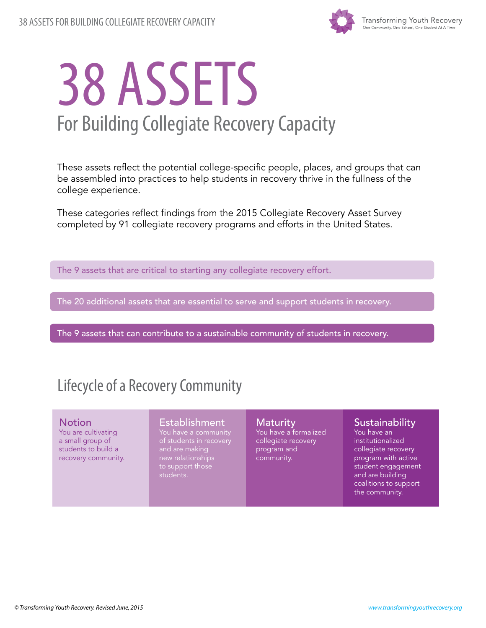

# 38 ASSETS For Building Collegiate Recovery Capacity

These assets reflect the potential college-specific people, places, and groups that can be assembled into practices to help students in recovery thrive in the fullness of the college experience.

These categories reflect findings from the 2015 Collegiate Recovery Asset Survey completed by 91 collegiate recovery programs and efforts in the United States.

The 9 assets that are critical to starting any collegiate recovery effort.

The 20 additional assets that are essential to serve and support students in recovery.

The 9 assets that can contribute to a sustainable community of students in recovery.

### Lifecycle of a Recovery Community

#### **Notion**

You are cultivating a small group of students to build a recovery community.

#### Establishment

of students in recovery new relationships to support those students.

**Maturity** You have a formalized collegiate recovery program and community.

#### **Sustainability**

You have an institutionalized collegiate recovery program with active student engagement and are building coalitions to support the community.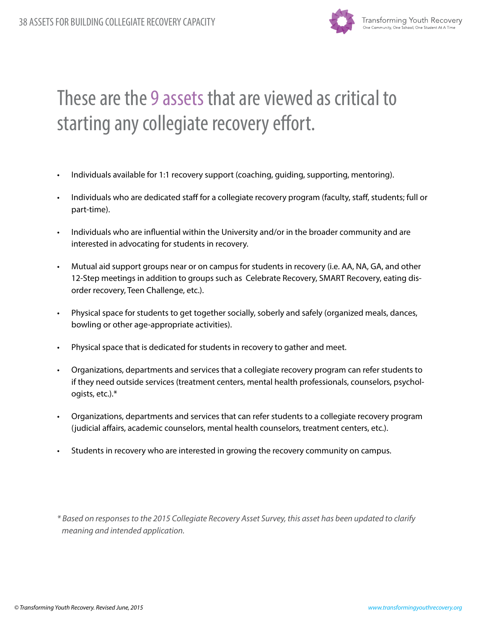

# These are the 9assets that are viewed as critical to starting any collegiate recovery effort.

- Individuals available for 1:1 recovery support (coaching, guiding, supporting, mentoring).
- Individuals who are dedicated staff for a collegiate recovery program (faculty, staff, students; full or part-time).
- Individuals who are influential within the University and/or in the broader community and are interested in advocating for students in recovery.
- Mutual aid support groups near or on campus for students in recovery (i.e. AA, NA, GA, and other 12-Step meetings in addition to groups such as Celebrate Recovery, SMART Recovery, eating disorder recovery, Teen Challenge, etc.).
- Physical space for students to get together socially, soberly and safely (organized meals, dances, bowling or other age-appropriate activities).
- Physical space that is dedicated for students in recovery to gather and meet.
- Organizations, departments and services that a collegiate recovery program can refer students to if they need outside services (treatment centers, mental health professionals, counselors, psychologists, etc.).\*
- Organizations, departments and services that can refer students to a collegiate recovery program (judicial affairs, academic counselors, mental health counselors, treatment centers, etc.).
- Students in recovery who are interested in growing the recovery community on campus.

*\* Based on responses to the 2015 Collegiate Recovery Asset Survey, this asset has been updated to clarify meaning and intended application.*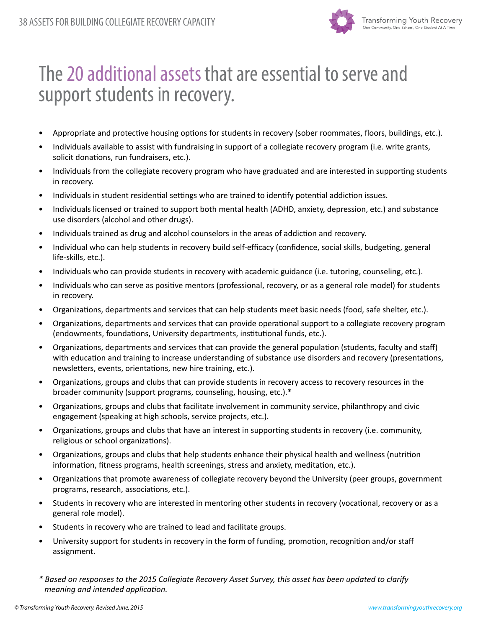

## The 20 additional assets that are essential to serve and support students in recovery.

- Appropriate and protective housing options for students in recovery (sober roommates, floors, buildings, etc.).
- Individuals available to assist with fundraising in support of a collegiate recovery program (i.e. write grants, solicit donations, run fundraisers, etc.).
- Individuals from the collegiate recovery program who have graduated and are interested in supporting students in recovery.
- Individuals in student residential settings who are trained to identify potential addiction issues.
- Individuals licensed or trained to support both mental health (ADHD, anxiety, depression, etc.) and substance use disorders (alcohol and other drugs).
- Individuals trained as drug and alcohol counselors in the areas of addiction and recovery.
- Individual who can help students in recovery build self-efficacy (confidence, social skills, budgeting, general life-skills, etc.).
- Individuals who can provide students in recovery with academic guidance (i.e. tutoring, counseling, etc.).
- Individuals who can serve as positive mentors (professional, recovery, or as a general role model) for students in recovery.
- Organizations, departments and services that can help students meet basic needs (food, safe shelter, etc.).
- Organizations, departments and services that can provide operational support to a collegiate recovery program (endowments, foundations, University departments, institutional funds, etc.).
- Organizations, departments and services that can provide the general population (students, faculty and staff) with education and training to increase understanding of substance use disorders and recovery (presentations, newsletters, events, orientations, new hire training, etc.).
- Organizations, groups and clubs that can provide students in recovery access to recovery resources in the broader community (support programs, counseling, housing, etc.).\*
- Organizations, groups and clubs that facilitate involvement in community service, philanthropy and civic engagement (speaking at high schools, service projects, etc.).
- Organizations, groups and clubs that have an interest in supporting students in recovery (i.e. community, religious or school organizations).
- Organizations, groups and clubs that help students enhance their physical health and wellness (nutrition information, fitness programs, health screenings, stress and anxiety, meditation, etc.).
- Organizations that promote awareness of collegiate recovery beyond the University (peer groups, government programs, research, associations, etc.).
- Students in recovery who are interested in mentoring other students in recovery (vocational, recovery or as a general role model).
- Students in recovery who are trained to lead and facilitate groups.
- University support for students in recovery in the form of funding, promotion, recognition and/or staff assignment.
- *\* Based on responses to the 2015 Collegiate Recovery Asset Survey, this asset has been updated to clarify meaning and intended application.*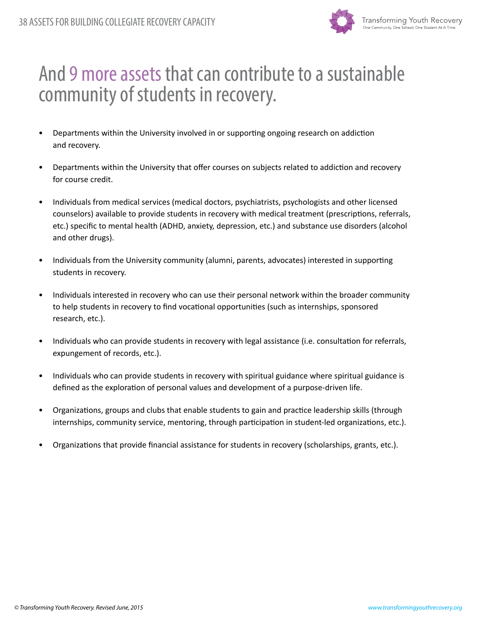

### And 9 more assets that can contribute to a sustainable community of students in recovery.

- Departments within the University involved in or supporting ongoing research on addiction and recovery.
- Departments within the University that offer courses on subjects related to addiction and recovery for course credit.
- Individuals from medical services (medical doctors, psychiatrists, psychologists and other licensed counselors) available to provide students in recovery with medical treatment (prescriptions, referrals, etc.) specific to mental health (ADHD, anxiety, depression, etc.) and substance use disorders (alcohol and other drugs).
- Individuals from the University community (alumni, parents, advocates) interested in supporting students in recovery.
- Individuals interested in recovery who can use their personal network within the broader community to help students in recovery to find vocational opportunities (such as internships, sponsored research, etc.).
- Individuals who can provide students in recovery with legal assistance (i.e. consultation for referrals, expungement of records, etc.).
- Individuals who can provide students in recovery with spiritual guidance where spiritual guidance is defined as the exploration of personal values and development of a purpose-driven life.
- Organizations, groups and clubs that enable students to gain and practice leadership skills (through internships, community service, mentoring, through participation in student-led organizations, etc.).
- Organizations that provide financial assistance for students in recovery (scholarships, grants, etc.).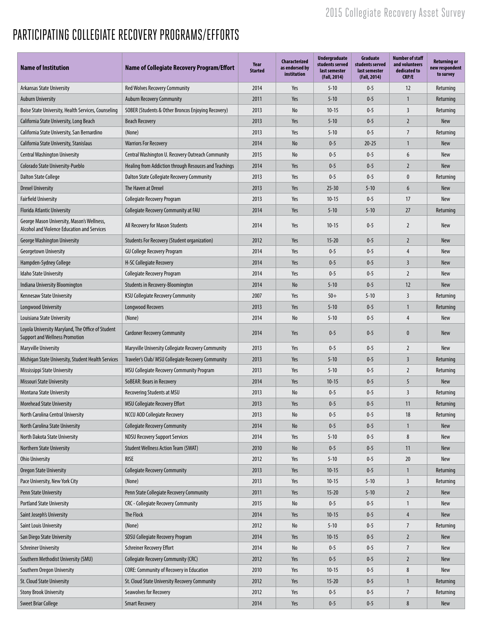### PARTICIPATING COLLEGIATE RECOVERY PROGRAMS/EFFORTS

| <b>Name of Institution</b>                                                                 | <b>Name of Collegiate Recovery Program/Effort</b>     | Year<br><b>Started</b> | <b>Characterized</b><br>as endorsed by<br>institution | <b>Undergraduate</b><br>students served<br>last semester<br>(Fall, 2014) | Graduate<br>students served<br>last semester<br>(Fall, 2014) | <b>Number of staff</b><br>and volunteers<br>dedicated to<br><b>CRP/E</b> | <b>Returning or</b><br>new respondent<br>to survey |
|--------------------------------------------------------------------------------------------|-------------------------------------------------------|------------------------|-------------------------------------------------------|--------------------------------------------------------------------------|--------------------------------------------------------------|--------------------------------------------------------------------------|----------------------------------------------------|
| <b>Arkansas State University</b>                                                           | <b>Red Wolves Recovery Community</b>                  | 2014                   | Yes                                                   | $5 - 10$                                                                 | $0 - 5$                                                      | 12                                                                       | Returning                                          |
| <b>Auburn University</b>                                                                   | <b>Auburn Recovery Community</b>                      | 2011                   | Yes                                                   | $5 - 10$                                                                 | $0 - 5$                                                      | $\mathbf{1}$                                                             | Returning                                          |
| Boise State University, Health Services, Counseling                                        | SOBER (Students & Other Broncos Enjoying Recovery)    | 2013                   | No                                                    | $10 - 15$                                                                | $0 - 5$                                                      | 3                                                                        | Returning                                          |
| California State University, Long Beach                                                    | <b>Beach Recovery</b>                                 | 2013                   | Yes                                                   | $5 - 10$                                                                 | $0 - 5$                                                      | $\overline{2}$                                                           | New                                                |
| California State University, San Bernardino                                                | (None)                                                | 2013                   | Yes                                                   | $5 - 10$                                                                 | $0 - 5$                                                      | $\overline{7}$                                                           | Returning                                          |
| California State University, Stanislaus                                                    | <b>Warriors For Recovery</b>                          | 2014                   | No                                                    | $0 - 5$                                                                  | $20 - 25$                                                    | $\mathbf{1}$                                                             | New                                                |
| <b>Central Washington University</b>                                                       | Central Washington U. Recovery Outreach Community     | 2015                   | No                                                    | $0 - 5$                                                                  | $0 - 5$                                                      | 6                                                                        | New                                                |
| Colorado State University-Pueblo                                                           | Healing from Addiction through Resouces and Teachings | 2014                   | Yes                                                   | $0 - 5$                                                                  | $0 - 5$                                                      | $\overline{2}$                                                           | New                                                |
| Dalton State College                                                                       | Dalton State Collegiate Recovery Community            | 2013                   | Yes                                                   | $0 - 5$                                                                  | $0 - 5$                                                      | 0                                                                        | Returning                                          |
| <b>Drexel University</b>                                                                   | The Haven at Drexel                                   | 2013                   | Yes                                                   | $25 - 30$                                                                | $5 - 10$                                                     | 6                                                                        | <b>New</b>                                         |
| <b>Fairfield University</b>                                                                | <b>Collegiate Recovery Program</b>                    | 2013                   | Yes                                                   | $10 - 15$                                                                | $0 - 5$                                                      | 17                                                                       | New                                                |
| Florida Atlantic University                                                                | Collegiate Recovery Community at FAU                  | 2014                   | Yes                                                   | $5 - 10$                                                                 | $5 - 10$                                                     | 27                                                                       | Returning                                          |
| George Mason University, Mason's Wellness,<br>Alcohol and Violence Education and Services  | All Recovery for Mason Students                       | 2014                   | Yes                                                   | $10 - 15$                                                                | $0 - 5$                                                      | $\overline{2}$                                                           | New                                                |
| <b>George Washington University</b>                                                        | <b>Students For Recovery (Student organization)</b>   | 2012                   | Yes                                                   | $15 - 20$                                                                | $0 - 5$                                                      | $\overline{2}$                                                           | New                                                |
| <b>Georgetown University</b>                                                               | <b>GU College Recovery Program</b>                    | 2014                   | Yes                                                   | $0 - 5$                                                                  | $0 - 5$                                                      | 4                                                                        | New                                                |
| Hampden-Sydney College                                                                     | H-SC Collegiate Recovery                              | 2014                   | Yes                                                   | $0 - 5$                                                                  | $0 - 5$                                                      | 3                                                                        | New                                                |
| Idaho State University                                                                     | <b>Collegiate Recovery Program</b>                    | 2014                   | Yes                                                   | $0 - 5$                                                                  | $0 - 5$                                                      | $\overline{2}$                                                           | New                                                |
| Indiana University Bloomington                                                             | Students in Recovery-Bloomington                      | 2014                   | No                                                    | $5 - 10$                                                                 | $0 - 5$                                                      | 12                                                                       | <b>New</b>                                         |
| <b>Kennesaw State University</b>                                                           | <b>KSU Collegiate Recovery Community</b>              | 2007                   | Yes                                                   | $50+$                                                                    | $5 - 10$                                                     | 3                                                                        | Returning                                          |
| Longwood University                                                                        | <b>Longwood Recovers</b>                              | 2013                   | Yes                                                   | $5 - 10$                                                                 | $0 - 5$                                                      | $\mathbf{1}$                                                             | Returning                                          |
| Louisiana State University                                                                 | (None)                                                | 2014                   | No                                                    | $5 - 10$                                                                 | $0 - 5$                                                      | $\overline{4}$                                                           | <b>New</b>                                         |
| Loyola University Maryland, The Office of Student<br><b>Support and Wellness Promotion</b> | <b>Cardoner Recovery Community</b>                    | 2014                   | Yes                                                   | $0 - 5$                                                                  | $0 - 5$                                                      | $\mathbf{0}$                                                             | <b>New</b>                                         |
| Maryville University                                                                       | Maryville University Collegiate Recovery Community    | 2013                   | Yes                                                   | $0 - 5$                                                                  | $0 - 5$                                                      | $\overline{2}$                                                           | New                                                |
| Michigan State University, Student Health Services                                         | Traveler's Club/ MSU Collegiate Recovery Community    | 2013                   | Yes                                                   | $5 - 10$                                                                 | $0 - 5$                                                      | 3                                                                        | Returning                                          |
| Mississippi State University                                                               | MSU Collegiate Recovery Community Program             | 2013                   | Yes                                                   | $5 - 10$                                                                 | $0 - 5$                                                      | $\overline{2}$                                                           | Returning                                          |
| <b>Missouri State University</b>                                                           | SoBEAR: Bears in Recovery                             | 2014                   | Yes                                                   | $10-15$                                                                  | $0 - 5$                                                      | 5                                                                        | New                                                |
| Montana State University                                                                   | Recovering Students at MSU                            | 2013                   | No                                                    | $0 - 5$                                                                  | $0 - 5$                                                      | $\overline{3}$                                                           | Returning                                          |
| <b>Morehead State University</b>                                                           | <b>MSU Collegiate Recovery Effort</b>                 | 2013                   | Yes                                                   | $0 - 5$                                                                  | $0 - 5$                                                      | 11                                                                       | Returning                                          |
| North Carolina Central University                                                          | NCCU AOD Collegiate Recovery                          | 2013                   | No                                                    | $0 - 5$                                                                  | $0 - 5$                                                      | 18                                                                       | Returning                                          |
| North Carolina State University                                                            | <b>Collegiate Recovery Community</b>                  | 2014                   | No                                                    | $0 - 5$                                                                  | $0 - 5$                                                      | $\mathbf{1}$                                                             | New                                                |
| North Dakota State University                                                              | <b>NDSU Recovery Support Services</b>                 | 2014                   | Yes                                                   | $5 - 10$                                                                 | $0 - 5$                                                      | $\bf 8$                                                                  | New                                                |
| Northern State University                                                                  | <b>Student Wellness Action Team (SWAT)</b>            | 2010                   | No                                                    | $0 - 5$                                                                  | $0 - 5$                                                      | 11                                                                       | New                                                |
| <b>Ohio University</b>                                                                     | <b>RISE</b>                                           | 2012                   | Yes                                                   | $5 - 10$                                                                 | $0 - 5$                                                      | 20                                                                       | New                                                |
| <b>Oregon State University</b>                                                             | <b>Collegiate Recovery Community</b>                  | 2013                   | Yes                                                   | $10 - 15$                                                                | $0 - 5$                                                      | $\mathbf{1}$                                                             | Returning                                          |
| Pace University, New York City                                                             | (None)                                                | 2013                   | Yes                                                   | $10-15$                                                                  | $5 - 10$                                                     | 3                                                                        | Returning                                          |
| Penn State University                                                                      | Penn State Collegiate Recovery Community              | 2011                   | Yes                                                   | $15 - 20$                                                                | $5 - 10$                                                     | $\overline{2}$                                                           | New                                                |
| <b>Portland State University</b>                                                           | <b>CRC</b> - Collegiate Recovery Community            | 2015                   | No                                                    | $0 - 5$                                                                  | $0 - 5$                                                      | $\mathbf{1}$                                                             | New                                                |
| Saint Joseph's University                                                                  | The Flock                                             | 2014                   | Yes                                                   | $10-15$                                                                  | $0 - 5$                                                      | 4                                                                        | New                                                |
| Saint Louis University                                                                     | (None)                                                | 2012                   | No                                                    | $5 - 10$                                                                 | $0 - 5$                                                      | $\overline{7}$                                                           | Returning                                          |
| San Diego State University                                                                 | SDSU Collegiate Recovery Program                      | 2014                   | Yes                                                   | $10 - 15$                                                                | $0 - 5$                                                      | $\overline{2}$                                                           | New                                                |
| <b>Schreiner University</b>                                                                | <b>Schreiner Recovery Effort</b>                      | 2014                   | No                                                    | $0 - 5$                                                                  | $0 - 5$                                                      | $\overline{7}$                                                           | New                                                |
| Southern Methodist University (SMU)                                                        | <b>Collegiate Recovery Community (CRC)</b>            | 2012                   | Yes                                                   | $0 - 5$                                                                  | $0 - 5$                                                      | $\overline{2}$                                                           | New                                                |
| Southern Oregon University                                                                 | <b>CORE: Community of Recovery in Education</b>       | 2010                   | Yes                                                   | $10-15$                                                                  | $0 - 5$                                                      | 8                                                                        | New                                                |
| St. Cloud State University                                                                 | St. Cloud State University Recovery Community         | 2012                   | Yes                                                   | $15 - 20$                                                                | $0 - 5$                                                      | $\mathbf{1}$                                                             | Returning                                          |
| <b>Stony Brook University</b>                                                              | Seawolves for Recovery                                | 2012                   | Yes                                                   | $0 - 5$                                                                  | $0 - 5$                                                      | $\overline{7}$                                                           | Returning                                          |
| <b>Sweet Briar College</b>                                                                 | <b>Smart Recovery</b>                                 | 2014                   | Yes                                                   | $0 - 5$                                                                  | $0 - 5$                                                      | $\bf 8$                                                                  | New                                                |